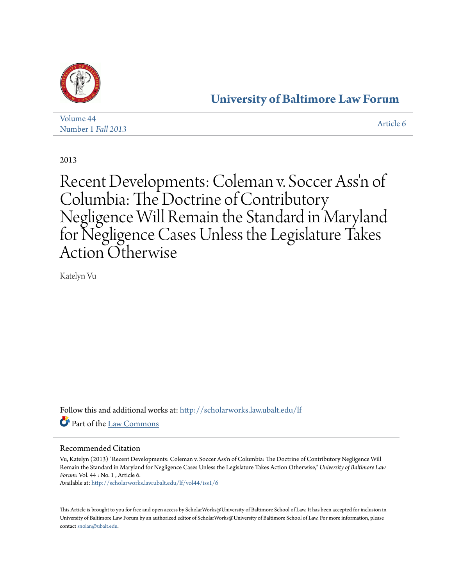

## **[University of Baltimore Law Forum](http://scholarworks.law.ubalt.edu/lf?utm_source=scholarworks.law.ubalt.edu%2Flf%2Fvol44%2Fiss1%2F6&utm_medium=PDF&utm_campaign=PDFCoverPages)**

| Volume 44          | Article 6 |
|--------------------|-----------|
| Number 1 Fall 2013 |           |

2013

Recent Developments: Coleman v. Soccer Ass 'n of Columbia: The Doctrine of Contributory Negligence Will Remain the Standard in Maryland for Negligence Cases Unless the Legislature Takes Action Otherwise

Katelyn Vu

Follow this and additional works at: [http://scholarworks.law.ubalt.edu/lf](http://scholarworks.law.ubalt.edu/lf?utm_source=scholarworks.law.ubalt.edu%2Flf%2Fvol44%2Fiss1%2F6&utm_medium=PDF&utm_campaign=PDFCoverPages) Part of the [Law Commons](http://network.bepress.com/hgg/discipline/578?utm_source=scholarworks.law.ubalt.edu%2Flf%2Fvol44%2Fiss1%2F6&utm_medium=PDF&utm_campaign=PDFCoverPages)

## Recommended Citation

Vu, Katelyn (2013) "Recent Developments: Coleman v. Soccer Ass'n of Columbia: The Doctrine of Contributory Negligence Will Remain the Standard in Maryland for Negligence Cases Unless the Legislature Takes Action Otherwise," *University of Baltimore Law Forum*: Vol. 44 : No. 1 , Article 6.

Available at: [http://scholarworks.law.ubalt.edu/lf/vol44/iss1/6](http://scholarworks.law.ubalt.edu/lf/vol44/iss1/6?utm_source=scholarworks.law.ubalt.edu%2Flf%2Fvol44%2Fiss1%2F6&utm_medium=PDF&utm_campaign=PDFCoverPages)

This Article is brought to you for free and open access by ScholarWorks@University of Baltimore School of Law. It has been accepted for inclusion in University of Baltimore Law Forum by an authorized editor of ScholarWorks@University of Baltimore School of Law. For more information, please contact [snolan@ubalt.edu.](mailto:snolan@ubalt.edu)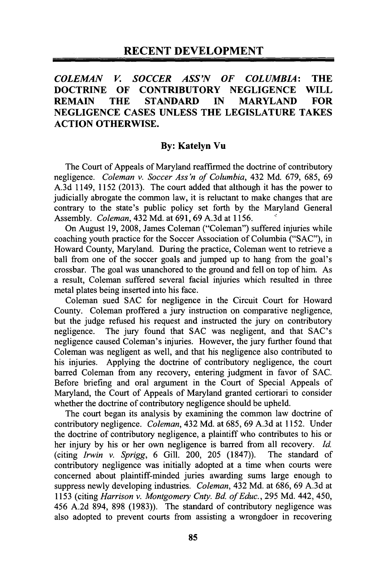## *COLEMAN V. SOCCER ASS'N OF COLUMBIA:* THE DOCTRINE OF CONTRIBUTORY NEGLIGENCE WILL REMAIN THE STANDARD IN MARYLAND FOR NEGLIGENCE CASES UNLESS THE LEGISLATURE TAKES ACTION OTHERWISE.

## By: Katelyn Vu

The Court of Appeals of Maryland reafftrmed the doctrine of contributory negligence. *Coleman* v. *Soccer Ass 'n of Columbia,* 432 Md. 679, 685, 69 A.3d 1149, 1152 (2013). The court added that although it has the power to judicially abrogate the common law, it is reluctant to make changes that are contrary to the state's public policy set forth by the Maryland General Assembly. *Coleman,* 432 Md. at 691, 69 A.3d at 1156. .<

On August 19,2008, James Coleman ("Coleman") suffered injuries while coaching youth practice for the Soccer Association of Columbia ("SAC"), in Howard County, Maryland. During the practice, Coleman went to retrieve a ball from one of the soccer goals and jumped up to hang from the goal's crossbar. The goal was unanchored to the ground and fell on top of him. As a result, Coleman suffered several facial injuries which resulted in three metal plates being inserted into his face.

Coleman sued SAC for negligence in the Circuit Court for Howard County. Coleman proffered a jury instruction on comparative negligence, but the judge refused his request and instructed the jury on contributory negligence. The jury found that SAC was negligent, and that SAC's negligence caused Coleman's injuries. However, the jury further found that Coleman was negligent as well, and that his negligence also contributed to his injuries. Applying the doctrine of contributory negligence, the court barred Coleman from any recovery, entering judgment in favor of SAC. Before briefing and oral argument in the Court of Special Appeals of Maryland, the Court of Appeals of Maryland granted certiorari to consider whether the doctrine of contributory negligence should be upheld.

The court began its analysis by examining the common law doctrine of contributory negligence. *Coleman,* 432 Md. at 685,69 A.3d at 1152. Under the doctrine of contributory negligence, a plaintiff who contributes to his or her injury by his or her own negligence is barred from all recovery. *Id.*  (citing *Irwin* v. *Sprigg,* 6 Gill. 200, 205 (1847)). The standard of contributory negligence was initially adopted at a time when courts were concerned about plaintiff-minded juries awarding sums large enough to suppress newly developing industries. *Coleman,* 432 Md. at 686, 69 A.3d at 1153 (citing *Harrison* v. *Montgomery Cnty. Ed. of Educ.,* 295 Md. 442, 450, 456 A.2d 894, 898 (1983)). The standard of contributory negligence was also adopted to prevent courts from assisting a wrongdoer in recovering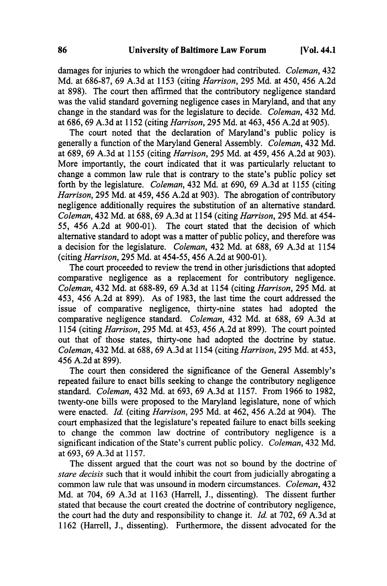damages for injuries to which the wrongdoer had contributed. *Coleman, 432*  Md. at 686-87, 69 A.3d at 1153 (citing *Harrison,* 295 Md. at 450,456 A.2d at 898). The court then affirmed that the contributory negligence standard was the valid standard governing negligence cases in Maryland, and that any change in the standard was for the legislature to decide. *Coleman,* 432 Md. at 686,69 A.3d at 1152 (citing *Harrison,* 295 Md. at 463, 456 A.2d at 905).

The court noted that the declaration of Maryland's public policy is generally a function of the Maryland General Assembly. *Coleman,* 432 Md. at 689,69 A.3d at 1155 (citing *Harrison,* 295 Md. at 459,456 A.2d at 903). More importantly, the court indicated that it was particularly reluctant to change a common law rule that is contrary to the state's public policy set forth by the legislature. *Coleman,* 432 Md. at 690, 69 A.3d at 1155 (citing *Harrison,* 295 Md. at 459, 456 A.2d at 903). The abrogation of contributory negligence additionally requires the substitution of an alternative standard. *Coleman,* 432 Md. at 688, 69 A.3d at 1154 (citing *Harrison,* 295 Md. at 454- 55, 456 A.2d at 900-01). The court stated that the decision of which alternative standard to adopt was a matter of public policy, and therefore was a decision for the legislature. *Coleman,* 432 Md. at 688, 69 A.3d at 1154 (citing *Harrison,* 295 Md. at 454-55,456 A.2d at 900-01).

The court proceeded to review the trend in other jurisdictions that adopted comparative negligence as a replacement for contributory negligence. *Coleman,* 432 Md. at 688-89, 69 A.3d at 1154 (citing *Harrison,* 295 Md. at 453, 456 A.2d at 899). As of 1983, the last time the court addressed the issue of comparative negligence, thirty-nine states had adopted the comparative negligence standard. *Coleman,* 432 Md. at 688, 69 A.3d at 1154 (citing *Harrison,* 295 Md. at 453, 456 A.2d at 899). The court pointed out that of those states, thirty-one had adopted the doctrine by statue. *Coleman,* 432 Md. at 688, 69 AJd at 1154 (citing *Harrison,* 295 Md. at 453, 456 A.2d at 899).

The court then considered the significance of the General Assembly's repeated failure to enact bills seeking to change the contributory negligence standard. *Coleman,* 432 Md. at 693, 69 A.3d at 1157. From 1966 to 1982, twenty-one bills were proposed to the Maryland legislature, none of which were enacted. *Id.* (citing *Harrison,* 295 Md. at 462, 456 A.2d at 904). The court emphasized that the legislature's repeated failure to enact bills seeking to change the common law doctrine of contributory negligence is a significant indication of the State's current public policy. *Coleman,* 432 Md. at 693, 69 A.3d at 1157.

The dissent argued that the court was not so bound by the doctrine of *stare decisis* such that it would inhibit the court from judicially abrogating a common law rule that was unsound in modem circumstances. *Coleman, 432*  Md. at 704, 69 A.3d at 1163 (Harrell, J., dissenting). The dissent further stated that because the court created the doctrine of contributory negligence, the court had the duty and responsibility to change it. *Id.* at 702, 69 A.3d at 1162 (Harrell, J., dissenting). Furthermore, the dissent advocated for the